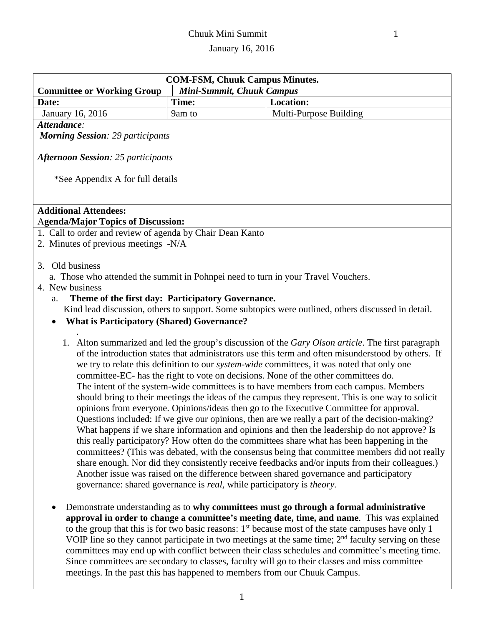| <b>COM-FSM, Chuuk Campus Minutes.</b>                                             |                                                                                       |                                                                                                                                                                                                                                                                                                                                                                                                                                                                                                                                                                                                                                                                                                                                                                                                                                                                                                                                                                                                                                                                                                                                                                                                                                                                                            |  |  |  |  |  |  |  |
|-----------------------------------------------------------------------------------|---------------------------------------------------------------------------------------|--------------------------------------------------------------------------------------------------------------------------------------------------------------------------------------------------------------------------------------------------------------------------------------------------------------------------------------------------------------------------------------------------------------------------------------------------------------------------------------------------------------------------------------------------------------------------------------------------------------------------------------------------------------------------------------------------------------------------------------------------------------------------------------------------------------------------------------------------------------------------------------------------------------------------------------------------------------------------------------------------------------------------------------------------------------------------------------------------------------------------------------------------------------------------------------------------------------------------------------------------------------------------------------------|--|--|--|--|--|--|--|
| <b>Committee or Working Group</b>                                                 | Mini-Summit, Chuuk Campus                                                             |                                                                                                                                                                                                                                                                                                                                                                                                                                                                                                                                                                                                                                                                                                                                                                                                                                                                                                                                                                                                                                                                                                                                                                                                                                                                                            |  |  |  |  |  |  |  |
| Date:                                                                             | Time:                                                                                 | <b>Location:</b>                                                                                                                                                                                                                                                                                                                                                                                                                                                                                                                                                                                                                                                                                                                                                                                                                                                                                                                                                                                                                                                                                                                                                                                                                                                                           |  |  |  |  |  |  |  |
| January 16, 2016                                                                  | 9am to                                                                                | Multi-Purpose Building                                                                                                                                                                                                                                                                                                                                                                                                                                                                                                                                                                                                                                                                                                                                                                                                                                                                                                                                                                                                                                                                                                                                                                                                                                                                     |  |  |  |  |  |  |  |
| Attendance:                                                                       |                                                                                       |                                                                                                                                                                                                                                                                                                                                                                                                                                                                                                                                                                                                                                                                                                                                                                                                                                                                                                                                                                                                                                                                                                                                                                                                                                                                                            |  |  |  |  |  |  |  |
| <b>Morning Session: 29 participants</b>                                           |                                                                                       |                                                                                                                                                                                                                                                                                                                                                                                                                                                                                                                                                                                                                                                                                                                                                                                                                                                                                                                                                                                                                                                                                                                                                                                                                                                                                            |  |  |  |  |  |  |  |
| <b>Afternoon Session: 25 participants</b><br>*See Appendix A for full details     |                                                                                       |                                                                                                                                                                                                                                                                                                                                                                                                                                                                                                                                                                                                                                                                                                                                                                                                                                                                                                                                                                                                                                                                                                                                                                                                                                                                                            |  |  |  |  |  |  |  |
| <b>Additional Attendees:</b>                                                      |                                                                                       |                                                                                                                                                                                                                                                                                                                                                                                                                                                                                                                                                                                                                                                                                                                                                                                                                                                                                                                                                                                                                                                                                                                                                                                                                                                                                            |  |  |  |  |  |  |  |
| <b>Agenda/Major Topics of Discussion:</b>                                         |                                                                                       |                                                                                                                                                                                                                                                                                                                                                                                                                                                                                                                                                                                                                                                                                                                                                                                                                                                                                                                                                                                                                                                                                                                                                                                                                                                                                            |  |  |  |  |  |  |  |
| 1. Call to order and review of agenda by Chair Dean Kanto                         |                                                                                       |                                                                                                                                                                                                                                                                                                                                                                                                                                                                                                                                                                                                                                                                                                                                                                                                                                                                                                                                                                                                                                                                                                                                                                                                                                                                                            |  |  |  |  |  |  |  |
| 2. Minutes of previous meetings -N/A                                              |                                                                                       |                                                                                                                                                                                                                                                                                                                                                                                                                                                                                                                                                                                                                                                                                                                                                                                                                                                                                                                                                                                                                                                                                                                                                                                                                                                                                            |  |  |  |  |  |  |  |
|                                                                                   |                                                                                       |                                                                                                                                                                                                                                                                                                                                                                                                                                                                                                                                                                                                                                                                                                                                                                                                                                                                                                                                                                                                                                                                                                                                                                                                                                                                                            |  |  |  |  |  |  |  |
| Old business<br>3.                                                                |                                                                                       |                                                                                                                                                                                                                                                                                                                                                                                                                                                                                                                                                                                                                                                                                                                                                                                                                                                                                                                                                                                                                                                                                                                                                                                                                                                                                            |  |  |  |  |  |  |  |
| a. Those who attended the summit in Pohnpei need to turn in your Travel Vouchers. |                                                                                       |                                                                                                                                                                                                                                                                                                                                                                                                                                                                                                                                                                                                                                                                                                                                                                                                                                                                                                                                                                                                                                                                                                                                                                                                                                                                                            |  |  |  |  |  |  |  |
| 4. New business                                                                   |                                                                                       |                                                                                                                                                                                                                                                                                                                                                                                                                                                                                                                                                                                                                                                                                                                                                                                                                                                                                                                                                                                                                                                                                                                                                                                                                                                                                            |  |  |  |  |  |  |  |
| Theme of the first day: Participatory Governance.<br>a.                           |                                                                                       |                                                                                                                                                                                                                                                                                                                                                                                                                                                                                                                                                                                                                                                                                                                                                                                                                                                                                                                                                                                                                                                                                                                                                                                                                                                                                            |  |  |  |  |  |  |  |
|                                                                                   |                                                                                       | Kind lead discussion, others to support. Some subtopics were outlined, others discussed in detail.                                                                                                                                                                                                                                                                                                                                                                                                                                                                                                                                                                                                                                                                                                                                                                                                                                                                                                                                                                                                                                                                                                                                                                                         |  |  |  |  |  |  |  |
| <b>What is Participatory (Shared) Governance?</b><br>$\bullet$                    |                                                                                       |                                                                                                                                                                                                                                                                                                                                                                                                                                                                                                                                                                                                                                                                                                                                                                                                                                                                                                                                                                                                                                                                                                                                                                                                                                                                                            |  |  |  |  |  |  |  |
|                                                                                   | governance: shared governance is <i>real</i> , while participatory is <i>theory</i> . | 1. Alton summarized and led the group's discussion of the Gary Olson article. The first paragraph<br>of the introduction states that administrators use this term and often misunderstood by others. If<br>we try to relate this definition to our <i>system-wide</i> committees, it was noted that only one<br>committee-EC- has the right to vote on decisions. None of the other committees do.<br>The intent of the system-wide committees is to have members from each campus. Members<br>should bring to their meetings the ideas of the campus they represent. This is one way to solicit<br>opinions from everyone. Opinions/ideas then go to the Executive Committee for approval.<br>Questions included: If we give our opinions, then are we really a part of the decision-making?<br>What happens if we share information and opinions and then the leadership do not approve? Is<br>this really participatory? How often do the committees share what has been happening in the<br>committees? (This was debated, with the consensus being that committee members did not really<br>share enough. Nor did they consistently receive feedbacks and/or inputs from their colleagues.)<br>Another issue was raised on the difference between shared governance and participatory |  |  |  |  |  |  |  |

• Demonstrate understanding as to **why committees must go through a formal administrative approval in order to change a committee's meeting date, time, and name**. This was explained to the group that this is for two basic reasons:  $1<sup>st</sup>$  because most of the state campuses have only 1 VOIP line so they cannot participate in two meetings at the same time; 2<sup>nd</sup> faculty serving on these committees may end up with conflict between their class schedules and committee's meeting time. Since committees are secondary to classes, faculty will go to their classes and miss committee meetings. In the past this has happened to members from our Chuuk Campus.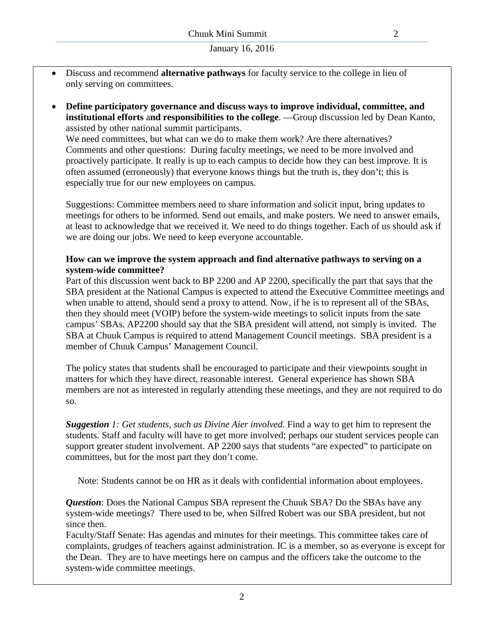- Discuss and recommend **alternative pathways** for faculty service to the college in lieu of only serving on committees.
- **Define participatory governance and discuss ways to improve individual, committee, and institutional efforts** a**nd responsibilities to the college**. —Group discussion led by Dean Kanto, assisted by other national summit participants.

We need committees, but what can we do to make them work? Are there alternatives? Comments and other questions: During faculty meetings, we need to be more involved and proactively participate. It really is up to each campus to decide how they can best improve. It is often assumed (erroneously) that everyone knows things but the truth is, they don't; this is especially true for our new employees on campus.

Suggestions: Committee members need to share information and solicit input, bring updates to meetings for others to be informed. Send out emails, and make posters. We need to answer emails, at least to acknowledge that we received it. We need to do things together. Each of us should ask if we are doing our jobs. We need to keep everyone accountable.

#### **How can we improve the system approach and find alternative pathways to serving on a system-wide committee?**

Part of this discussion went back to BP 2200 and AP 2200, specifically the part that says that the SBA president at the National Campus is expected to attend the Executive Committee meetings and when unable to attend, should send a proxy to attend. Now, if he is to represent all of the SBAs, then they should meet (VOIP) before the system-wide meetings to solicit inputs from the sate campus' SBAs. AP2200 should say that the SBA president will attend, not simply is invited. The SBA at Chuuk Campus is required to attend Management Council meetings. SBA president is a member of Chuuk Campus' Management Council.

The policy states that students shall be encouraged to participate and their viewpoints sought in matters for which they have direct, reasonable interest. General experience has shown SBA members are not as interested in regularly attending these meetings, and they are not required to do so.

*Suggestion 1: Get students, such as Divine Aier involved.* Find a way to get him to represent the students. Staff and faculty will have to get more involved; perhaps our student services people can support greater student involvement. AP 2200 says that students "are expected" to participate on committees, but for the most part they don't come.

Note: Students cannot be on HR as it deals with confidential information about employees.

*Question*: Does the National Campus SBA represent the Chuuk SBA? Do the SBAs have any system-wide meetings? There used to be, when Silfred Robert was our SBA president, but not since then.

Faculty/Staff Senate: Has agendas and minutes for their meetings. This committee takes care of complaints, grudges of teachers against administration. IC is a member, so as everyone is except for the Dean. They are to have meetings here on campus and the officers take the outcome to the system-wide committee meetings.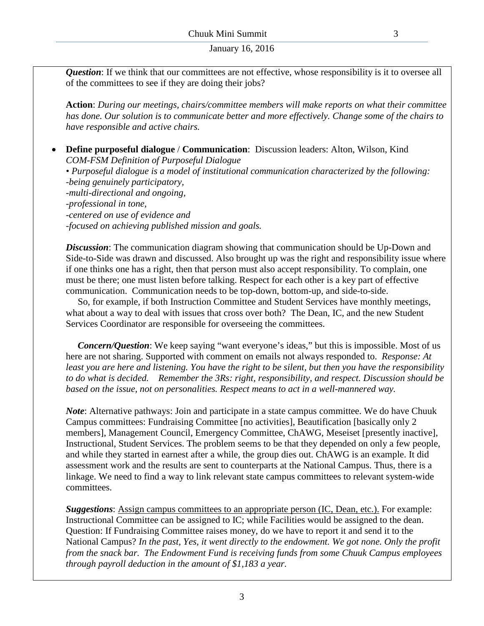*Question*: If we think that our committees are not effective, whose responsibility is it to oversee all of the committees to see if they are doing their jobs?

**Action**: *During our meetings, chairs/committee members will make reports on what their committee has done. Our solution is to communicate better and more effectively. Change some of the chairs to have responsible and active chairs.*

• **Define purposeful dialogue** / **Communication**: Discussion leaders: Alton, Wilson, Kind *COM-FSM Definition of Purposeful Dialogue*

*• Purposeful dialogue is a model of institutional communication characterized by the following: -being genuinely participatory, -multi-directional and ongoing, -professional in tone, -centered on use of evidence and -focused on achieving published mission and goals.*

*Discussion*: The communication diagram showing that communication should be Up-Down and Side-to-Side was drawn and discussed. Also brought up was the right and responsibility issue where if one thinks one has a right, then that person must also accept responsibility. To complain, one must be there; one must listen before talking. Respect for each other is a key part of effective communication. Communication needs to be top-down, bottom-up, and side-to-side.

 So, for example, if both Instruction Committee and Student Services have monthly meetings, what about a way to deal with issues that cross over both? The Dean, IC, and the new Student Services Coordinator are responsible for overseeing the committees.

 *Concern/Question*: We keep saying "want everyone's ideas," but this is impossible. Most of us here are not sharing. Supported with comment on emails not always responded to. *Response: At least you are here and listening. You have the right to be silent, but then you have the responsibility to do what is decided. Remember the 3Rs: right, responsibility, and respect. Discussion should be based on the issue, not on personalities. Respect means to act in a well-mannered way.*

*Note*: Alternative pathways: Join and participate in a state campus committee. We do have Chuuk Campus committees: Fundraising Committee [no activities], Beautification [basically only 2 members], Management Council, Emergency Committee, ChAWG, Meseiset [presently inactive], Instructional, Student Services. The problem seems to be that they depended on only a few people, and while they started in earnest after a while, the group dies out. ChAWG is an example. It did assessment work and the results are sent to counterparts at the National Campus. Thus, there is a linkage. We need to find a way to link relevant state campus committees to relevant system-wide committees.

*Suggestions*: Assign campus committees to an appropriate person (IC, Dean, etc.). For example: Instructional Committee can be assigned to IC; while Facilities would be assigned to the dean. Question: If Fundraising Committee raises money, do we have to report it and send it to the National Campus? *In the past, Yes, it went directly to the endowment. We got none. Only the profit from the snack bar. The Endowment Fund is receiving funds from some Chuuk Campus employees through payroll deduction in the amount of \$1,183 a year.*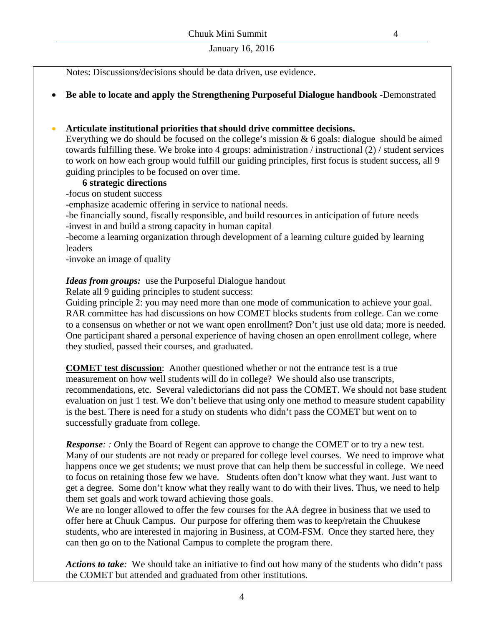Notes: Discussions/decisions should be data driven, use evidence.

• **Be able to locate and apply the Strengthening Purposeful Dialogue handbook** -Demonstrated

## • **Articulate institutional priorities that should drive committee decisions.**

Everything we do should be focused on the college's mission & 6 goals: dialogue should be aimed towards fulfilling these. We broke into 4 groups: administration / instructional (2) / student services to work on how each group would fulfill our guiding principles, first focus is student success, all 9 guiding principles to be focused on over time.

# **6 strategic directions**

-focus on student success

-emphasize academic offering in service to national needs.

-be financially sound, fiscally responsible, and build resources in anticipation of future needs -invest in and build a strong capacity in human capital

-become a learning organization through development of a learning culture guided by learning leaders

-invoke an image of quality

## *Ideas from groups:* use the Purposeful Dialogue handout

Relate all 9 guiding principles to student success:

Guiding principle 2: you may need more than one mode of communication to achieve your goal. RAR committee has had discussions on how COMET blocks students from college. Can we come to a consensus on whether or not we want open enrollment? Don't just use old data; more is needed. One participant shared a personal experience of having chosen an open enrollment college, where they studied, passed their courses, and graduated.

**COMET test discussion**: Another questioned whether or not the entrance test is a true measurement on how well students will do in college? We should also use transcripts, recommendations, etc. Several valedictorians did not pass the COMET. We should not base student evaluation on just 1 test. We don't believe that using only one method to measure student capability is the best. There is need for a study on students who didn't pass the COMET but went on to successfully graduate from college.

*Response: : O*nly the Board of Regent can approve to change the COMET or to try a new test. Many of our students are not ready or prepared for college level courses. We need to improve what happens once we get students; we must prove that can help them be successful in college. We need to focus on retaining those few we have. Students often don't know what they want. Just want to get a degree. Some don't know what they really want to do with their lives. Thus, we need to help them set goals and work toward achieving those goals.

We are no longer allowed to offer the few courses for the AA degree in business that we used to offer here at Chuuk Campus. Our purpose for offering them was to keep/retain the Chuukese students, who are interested in majoring in Business, at COM-FSM. Once they started here, they can then go on to the National Campus to complete the program there.

*Actions to take:* We should take an initiative to find out how many of the students who didn't pass the COMET but attended and graduated from other institutions.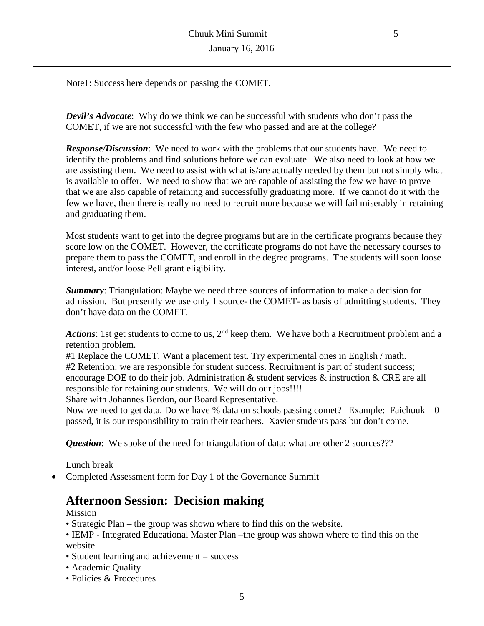Note1: Success here depends on passing the COMET.

*Devil's Advocate*: Why do we think we can be successful with students who don't pass the COMET, if we are not successful with the few who passed and are at the college?

*Response/Discussion*: We need to work with the problems that our students have. We need to identify the problems and find solutions before we can evaluate. We also need to look at how we are assisting them. We need to assist with what is/are actually needed by them but not simply what is available to offer. We need to show that we are capable of assisting the few we have to prove that we are also capable of retaining and successfully graduating more. If we cannot do it with the few we have, then there is really no need to recruit more because we will fail miserably in retaining and graduating them.

Most students want to get into the degree programs but are in the certificate programs because they score low on the COMET. However, the certificate programs do not have the necessary courses to prepare them to pass the COMET, and enroll in the degree programs. The students will soon loose interest, and/or loose Pell grant eligibility.

*Summary*: Triangulation: Maybe we need three sources of information to make a decision for admission. But presently we use only 1 source- the COMET- as basis of admitting students. They don't have data on the COMET.

Actions: 1st get students to come to us, 2<sup>nd</sup> keep them. We have both a Recruitment problem and a retention problem.

#1 Replace the COMET. Want a placement test. Try experimental ones in English / math. #2 Retention: we are responsible for student success. Recruitment is part of student success; encourage DOE to do their job. Administration & student services & instruction & CRE are all responsible for retaining our students. We will do our jobs!!!!

Share with Johannes Berdon, our Board Representative.

Now we need to get data. Do we have % data on schools passing comet? Example: Faichuuk 0 passed, it is our responsibility to train their teachers. Xavier students pass but don't come.

*Question*: We spoke of the need for triangulation of data; what are other 2 sources???

Lunch break

• Completed Assessment form for Day 1 of the Governance Summit

# **Afternoon Session: Decision making**

Mission

- Strategic Plan the group was shown where to find this on the website.
- IEMP Integrated Educational Master Plan –the group was shown where to find this on the website.
- Student learning and achievement = success
- Academic Quality
- Policies & Procedures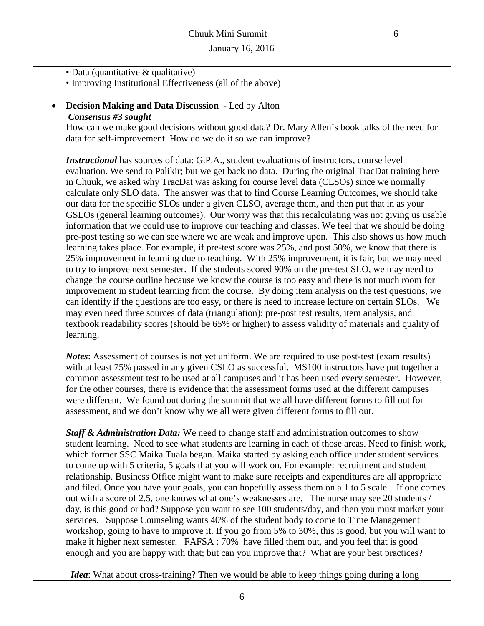- Data (quantitative & qualitative)
- Improving Institutional Effectiveness (all of the above)

#### • **Decision Making and Data Discussion** - Led by Alton *Consensus #3 sought*

How can we make good decisions without good data? Dr. Mary Allen's book talks of the need for data for self-improvement. How do we do it so we can improve?

*Instructional* has sources of data: G.P.A., student evaluations of instructors, course level evaluation. We send to Palikir; but we get back no data. During the original TracDat training here in Chuuk, we asked why TracDat was asking for course level data (CLSOs) since we normally calculate only SLO data. The answer was that to find Course Learning Outcomes, we should take our data for the specific SLOs under a given CLSO, average them, and then put that in as your GSLOs (general learning outcomes). Our worry was that this recalculating was not giving us usable information that we could use to improve our teaching and classes. We feel that we should be doing pre-post testing so we can see where we are weak and improve upon. This also shows us how much learning takes place. For example, if pre-test score was 25%, and post 50%, we know that there is 25% improvement in learning due to teaching. With 25% improvement, it is fair, but we may need to try to improve next semester. If the students scored 90% on the pre-test SLO, we may need to change the course outline because we know the course is too easy and there is not much room for improvement in student learning from the course. By doing item analysis on the test questions, we can identify if the questions are too easy, or there is need to increase lecture on certain SLOs. We may even need three sources of data (triangulation): pre-post test results, item analysis, and textbook readability scores (should be 65% or higher) to assess validity of materials and quality of learning.

*Notes*: Assessment of courses is not yet uniform. We are required to use post-test (exam results) with at least 75% passed in any given CSLO as successful. MS100 instructors have put together a common assessment test to be used at all campuses and it has been used every semester. However, for the other courses, there is evidence that the assessment forms used at the different campuses were different. We found out during the summit that we all have different forms to fill out for assessment, and we don't know why we all were given different forms to fill out.

*Staff & Administration Data:* We need to change staff and administration outcomes to show student learning. Need to see what students are learning in each of those areas. Need to finish work, which former SSC Maika Tuala began. Maika started by asking each office under student services to come up with 5 criteria, 5 goals that you will work on. For example: recruitment and student relationship. Business Office might want to make sure receipts and expenditures are all appropriate and filed. Once you have your goals, you can hopefully assess them on a 1 to 5 scale. If one comes out with a score of 2.5, one knows what one's weaknesses are. The nurse may see 20 students / day, is this good or bad? Suppose you want to see 100 students/day, and then you must market your services. Suppose Counseling wants 40% of the student body to come to Time Management workshop, going to have to improve it. If you go from 5% to 30%, this is good, but you will want to make it higher next semester. FAFSA : 70% have filled them out, and you feel that is good enough and you are happy with that; but can you improve that? What are your best practices?

*Idea*: What about cross-training? Then we would be able to keep things going during a long

6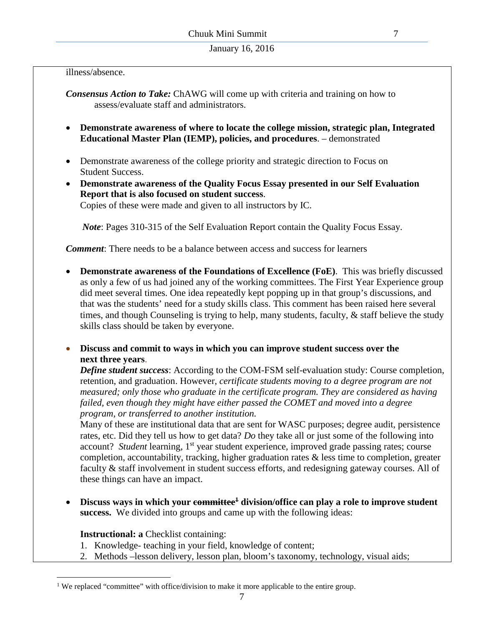illness/absence.

*Consensus Action to Take:* ChAWG will come up with criteria and training on how to assess/evaluate staff and administrators.

- **Demonstrate awareness of where to locate the college mission, strategic plan, Integrated Educational Master Plan (IEMP), policies, and procedures**. – demonstrated
- Demonstrate awareness of the college priority and strategic direction to Focus on Student Success.
- **Demonstrate awareness of the Quality Focus Essay presented in our Self Evaluation Report that is also focused on student success**.

Copies of these were made and given to all instructors by IC.

 *Note*: Pages 310-315 of the Self Evaluation Report contain the Quality Focus Essay.

*Comment*: There needs to be a balance between access and success for learners

- **Demonstrate awareness of the Foundations of Excellence (FoE)**. This was briefly discussed as only a few of us had joined any of the working committees. The First Year Experience group did meet several times. One idea repeatedly kept popping up in that group's discussions, and that was the students' need for a study skills class. This comment has been raised here several times, and though Counseling is trying to help, many students, faculty, & staff believe the study skills class should be taken by everyone.
- **Discuss and commit to ways in which you can improve student success over the next three years**.

*Define student success*: According to the COM-FSM self-evaluation study: Course completion, retention, and graduation. However, *certificate students moving to a degree program are not measured; only those who graduate in the certificate program. They are considered as having failed, even though they might have either passed the COMET and moved into a degree program, or transferred to another institution.* 

Many of these are institutional data that are sent for WASC purposes; degree audit, persistence rates, etc. Did they tell us how to get data? *Do* they take all or just some of the following into account? *Student* learning, 1<sup>st</sup> year student experience, improved grade passing rates; course completion, accountability, tracking, higher graduation rates & less time to completion, greater faculty & staff involvement in student success efforts, and redesigning gateway courses. All of these things can have an impact.

• Discuss ways in which your committee<sup>1</sup> division/office can play a role to improve student **success.** We divided into groups and came up with the following ideas:

**Instructional: a** Checklist containing:

- 1. Knowledge- teaching in your field, knowledge of content;
- 2. Methods –lesson delivery, lesson plan, bloom's taxonomy, technology, visual aids;

<sup>&</sup>lt;sup>1</sup> We replaced "committee" with office/division to make it more applicable to the entire group.  $\overline{a}$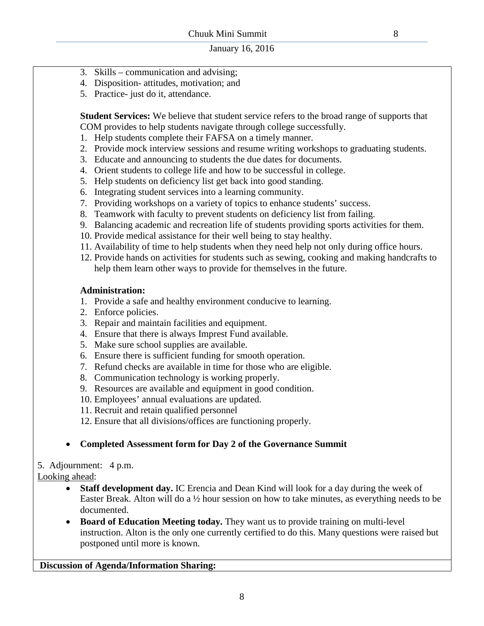- 3. Skills communication and advising;
- 4. Disposition- attitudes, motivation; and
- 5. Practice- just do it, attendance.

**Student Services:** We believe that student service refers to the broad range of supports that COM provides to help students navigate through college successfully.

- 1. Help students complete their FAFSA on a timely manner.
- 2. Provide mock interview sessions and resume writing workshops to graduating students.
- 3. Educate and announcing to students the due dates for documents.
- 4. Orient students to college life and how to be successful in college.
- 5. Help students on deficiency list get back into good standing.
- 6. Integrating student services into a learning community.
- 7. Providing workshops on a variety of topics to enhance students' success.
- 8. Teamwork with faculty to prevent students on deficiency list from failing.
- 9. Balancing academic and recreation life of students providing sports activities for them.
- 10. Provide medical assistance for their well being to stay healthy.
- 11. Availability of time to help students when they need help not only during office hours.
- 12. Provide hands on activities for students such as sewing, cooking and making handcrafts to help them learn other ways to provide for themselves in the future.

#### **Administration:**

- 1. Provide a safe and healthy environment conducive to learning.
- 2. Enforce policies.
- 3. Repair and maintain facilities and equipment.
- 4. Ensure that there is always Imprest Fund available.
- 5. Make sure school supplies are available.
- 6. Ensure there is sufficient funding for smooth operation.
- 7. Refund checks are available in time for those who are eligible.
- 8. Communication technology is working properly.
- 9. Resources are available and equipment in good condition.
- 10. Employees' annual evaluations are updated.
- 11. Recruit and retain qualified personnel
- 12. Ensure that all divisions/offices are functioning properly.

## • **Completed Assessment form for Day 2 of the Governance Summit**

5. Adjournment: 4 p.m. Looking ahead:

- **Staff development day.** IC Erencia and Dean Kind will look for a day during the week of Easter Break. Alton will do a  $\frac{1}{2}$  hour session on how to take minutes, as everything needs to be documented.
	- **Board of Education Meeting today.** They want us to provide training on multi-level instruction. Alton is the only one currently certified to do this. Many questions were raised but postponed until more is known.

## **Discussion of Agenda/Information Sharing:**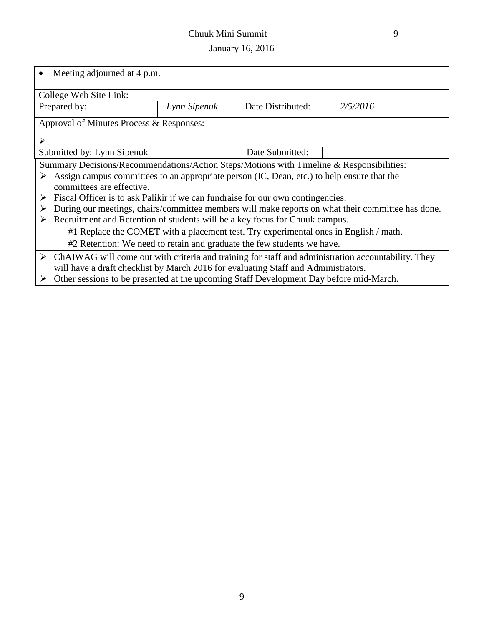# Chuuk Mini Summit 9

| Meeting adjourned at 4 p.m.                                                                                         |                                                                                            |                   |          |  |  |  |
|---------------------------------------------------------------------------------------------------------------------|--------------------------------------------------------------------------------------------|-------------------|----------|--|--|--|
| College Web Site Link:                                                                                              |                                                                                            |                   |          |  |  |  |
| Prepared by:                                                                                                        | Lynn Sipenuk                                                                               | Date Distributed: | 2/5/2016 |  |  |  |
| Approval of Minutes Process & Responses:                                                                            |                                                                                            |                   |          |  |  |  |
| $\blacktriangleright$                                                                                               |                                                                                            |                   |          |  |  |  |
| Submitted by: Lynn Sipenuk                                                                                          |                                                                                            | Date Submitted:   |          |  |  |  |
|                                                                                                                     | Summary Decisions/Recommendations/Action Steps/Motions with Timeline & Responsibilities:   |                   |          |  |  |  |
| committees are effective.                                                                                           | Assign campus committees to an appropriate person (IC, Dean, etc.) to help ensure that the |                   |          |  |  |  |
| ➤                                                                                                                   | Fiscal Officer is to ask Palikir if we can fundraise for our own contingencies.            |                   |          |  |  |  |
| During our meetings, chairs/committee members will make reports on what their committee has done.                   |                                                                                            |                   |          |  |  |  |
| ➤                                                                                                                   | Recruitment and Retention of students will be a key focus for Chuuk campus.                |                   |          |  |  |  |
| #1 Replace the COMET with a placement test. Try experimental ones in English / math.                                |                                                                                            |                   |          |  |  |  |
|                                                                                                                     | #2 Retention: We need to retain and graduate the few students we have.                     |                   |          |  |  |  |
| $\triangleright$ ChAIWAG will come out with criteria and training for staff and administration accountability. They |                                                                                            |                   |          |  |  |  |
|                                                                                                                     | will have a draft checklist by March 2016 for evaluating Staff and Administrators.         |                   |          |  |  |  |
| ≻                                                                                                                   | Other sessions to be presented at the upcoming Staff Development Day before mid-March.     |                   |          |  |  |  |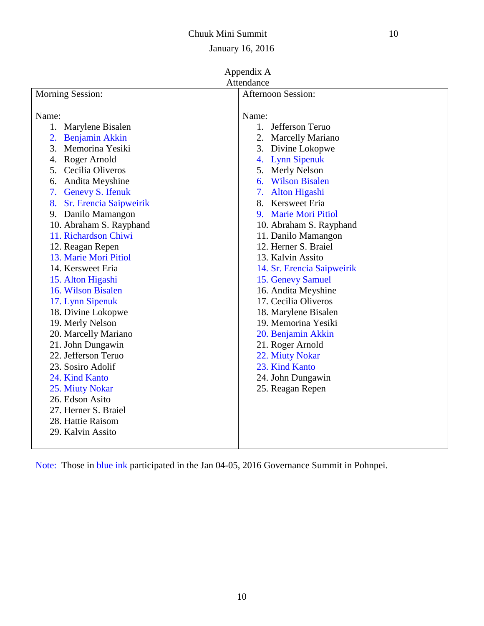| Appendix A                                                                               |
|------------------------------------------------------------------------------------------|
| $\lambda$ <i>i</i> $\lambda$ = $\lambda$ = $\lambda$ = $\lambda$ = $\lambda$ = $\lambda$ |

|                                                                                                                                                                                                                                                                                                                                                                                                                                                                                                                                                           | Attendance                                                                                                                                                                                                                                                                                                                                                                                                                                                                                                                                    |
|-----------------------------------------------------------------------------------------------------------------------------------------------------------------------------------------------------------------------------------------------------------------------------------------------------------------------------------------------------------------------------------------------------------------------------------------------------------------------------------------------------------------------------------------------------------|-----------------------------------------------------------------------------------------------------------------------------------------------------------------------------------------------------------------------------------------------------------------------------------------------------------------------------------------------------------------------------------------------------------------------------------------------------------------------------------------------------------------------------------------------|
| <b>Morning Session:</b>                                                                                                                                                                                                                                                                                                                                                                                                                                                                                                                                   | <b>Afternoon Session:</b>                                                                                                                                                                                                                                                                                                                                                                                                                                                                                                                     |
| Name:<br>Marylene Bisalen<br>1.<br><b>Benjamin Akkin</b><br>2.<br>3.<br>Memorina Yesiki<br>Roger Arnold<br>4.<br>5.<br>Cecilia Oliveros<br>Andita Meyshine<br>6.<br><b>Genevy S. Ifenuk</b><br>7.<br>Sr. Erencia Saipweirik<br>8.<br>9. Danilo Mamangon<br>10. Abraham S. Rayphand<br>11. Richardson Chiwi<br>12. Reagan Repen<br>13. Marie Mori Pitiol<br>14. Kersweet Eria<br>15. Alton Higashi<br>16. Wilson Bisalen<br>17. Lynn Sipenuk<br>18. Divine Lokopwe<br>19. Merly Nelson<br>20. Marcelly Mariano<br>21. John Dungawin<br>22. Jefferson Teruo | Name:<br>1. Jefferson Teruo<br>2. Marcelly Mariano<br>3. Divine Lokopwe<br>4. Lynn Sipenuk<br><b>Merly Nelson</b><br>5.<br>6. Wilson Bisalen<br><b>Alton Higashi</b><br>7.<br>8. Kersweet Eria<br><b>Marie Mori Pitiol</b><br>9.<br>10. Abraham S. Rayphand<br>11. Danilo Mamangon<br>12. Herner S. Braiel<br>13. Kalvin Assito<br>14. Sr. Erencia Saipweirik<br>15. Genevy Samuel<br>16. Andita Meyshine<br>17. Cecilia Oliveros<br>18. Marylene Bisalen<br>19. Memorina Yesiki<br>20. Benjamin Akkin<br>21. Roger Arnold<br>22. Miuty Nokar |
|                                                                                                                                                                                                                                                                                                                                                                                                                                                                                                                                                           |                                                                                                                                                                                                                                                                                                                                                                                                                                                                                                                                               |
| 23. Sosiro Adolif<br>24. Kind Kanto<br>25. Miuty Nokar<br>26. Edson Asito                                                                                                                                                                                                                                                                                                                                                                                                                                                                                 | 23. Kind Kanto<br>24. John Dungawin<br>25. Reagan Repen                                                                                                                                                                                                                                                                                                                                                                                                                                                                                       |
| 27. Herner S. Braiel<br>28. Hattie Raisom<br>29. Kalvin Assito                                                                                                                                                                                                                                                                                                                                                                                                                                                                                            |                                                                                                                                                                                                                                                                                                                                                                                                                                                                                                                                               |

Note: Those in blue ink participated in the Jan 04-05, 2016 Governance Summit in Pohnpei.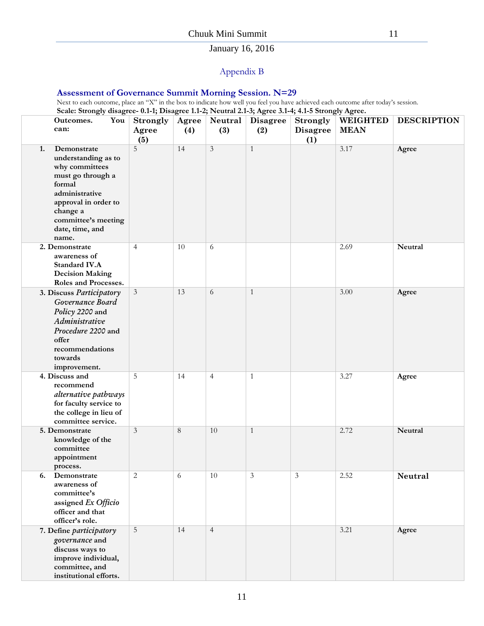# Appendix B

#### **Assessment of Governance Summit Morning Session. N=29**

Next to each outcome, place an "X" in the box to indicate how well you feel you have achieved each outcome after today's session. **Scale: Strongly disagree- 0.1-1; Disagree 1.1-2; Neutral 2.1-3; Agree 3.1-4; 4.1-5 Strongly Agree.**

| $\sigma$ .<br>You<br>Outcomes.<br>can:                                                                                                                                                             | <b>Strongly</b><br>Agree<br>(5) | ਤ<br>Agree<br>(4) | Neutral<br>(3) | $\overline{\phantom{a}}$<br><b>Disagree</b><br>(2) | <b>Strongly</b><br><b>Disagree</b><br>(1) | $\sigma$ , $\sigma$<br><b>WEIGHTED</b><br><b>MEAN</b> | <b>DESCRIPTION</b> |
|----------------------------------------------------------------------------------------------------------------------------------------------------------------------------------------------------|---------------------------------|-------------------|----------------|----------------------------------------------------|-------------------------------------------|-------------------------------------------------------|--------------------|
| 1.<br>Demonstrate<br>understanding as to<br>why committees<br>must go through a<br>formal<br>administrative<br>approval in order to<br>change a<br>committee's meeting<br>date, time, and<br>name. | 5                               | 14                | 3              | 1                                                  |                                           | 3.17                                                  | Agree              |
| 2. Demonstrate<br>awareness of<br>Standard IV.A<br><b>Decision Making</b><br>Roles and Processes.                                                                                                  | $\overline{4}$                  | 10                | 6              |                                                    |                                           | 2.69                                                  | Neutral            |
| 3. Discuss Participatory<br>Governance Board<br>Policy 2200 and<br>Administrative<br>Procedure 2200 and<br>offer<br>recommendations<br>towards<br>improvement.                                     | $\mathfrak{Z}$                  | 13                | 6              | $\mathbf{1}$                                       |                                           | 3.00                                                  | Agree              |
| 4. Discuss and<br>recommend<br>alternative pathways<br>for faculty service to<br>the college in lieu of<br>committee service.                                                                      | 5                               | 14                | $\overline{4}$ | $\mathbf{1}$                                       |                                           | 3.27                                                  | Agree              |
| 5. Demonstrate<br>knowledge of the<br>committee<br>appointment<br>process.                                                                                                                         | $\mathfrak{Z}$                  | 8                 | 10             | 1                                                  |                                           | 2.72                                                  | Neutral            |
| Demonstrate<br>6.<br>awareness of<br>committee's<br>assigned Ex Officio<br>officer and that<br>officer's role.                                                                                     | $\mathbf{2}$                    | 6                 | 10             | $\mathfrak{Z}$                                     | 3                                         | 2.52                                                  | Neutral            |
| 7. Define participatory<br>governance and<br>discuss ways to<br>improve individual,<br>committee, and<br>institutional efforts.                                                                    | 5                               | 14                | $\overline{4}$ |                                                    |                                           | 3.21                                                  | Agree              |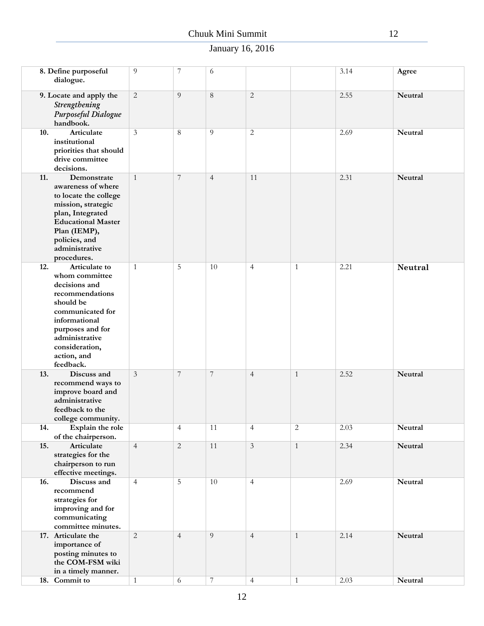# Chuuk Mini Summit 12

|     | 8. Define purposeful<br>dialogue.                                                                                                                                                                         | 9              | 7              | 6              |                |              | 3.14 | Agree          |
|-----|-----------------------------------------------------------------------------------------------------------------------------------------------------------------------------------------------------------|----------------|----------------|----------------|----------------|--------------|------|----------------|
|     | 9. Locate and apply the<br>Strengthening<br>Purposeful Dialogue<br>handbook.                                                                                                                              | $\overline{2}$ | 9              | $\,8\,$        | $\overline{2}$ |              | 2.55 | Neutral        |
| 10. | Articulate<br>institutional<br>priorities that should<br>drive committee<br>decisions.                                                                                                                    | 3              | 8              | 9              | 2              |              | 2.69 | Neutral        |
| 11. | Demonstrate<br>awareness of where<br>to locate the college<br>mission, strategic<br>plan, Integrated<br><b>Educational Master</b><br>Plan (IEMP),<br>policies, and<br>administrative<br>procedures.       | 1              | 7              | $\overline{4}$ | 11             |              | 2.31 | Neutral        |
| 12. | Articulate to<br>whom committee<br>decisions and<br>recommendations<br>should be<br>communicated for<br>informational<br>purposes and for<br>administrative<br>consideration,<br>action, and<br>feedback. | $\mathbf{1}$   | 5              | 10             | $\overline{4}$ | $\mathbf{1}$ | 2.21 | <b>Neutral</b> |
| 13. | Discuss and<br>recommend ways to<br>improve board and<br>administrative<br>feedback to the<br>college community.                                                                                          | 3              | 7              | $\overline{7}$ | $\overline{4}$ | $\mathbf{1}$ | 2.52 | Neutral        |
| 14. | Explain the role<br>of the chairperson.                                                                                                                                                                   |                | $\overline{4}$ | 11             | $\overline{4}$ | $\sqrt{2}$   | 2.03 | Neutral        |
| 15. | Articulate<br>strategies for the<br>chairperson to run<br>effective meetings.                                                                                                                             | $\overline{4}$ | $\overline{2}$ | 11             | $\mathfrak{Z}$ | $\mathbf{1}$ | 2.34 | Neutral        |
| 16. | Discuss and<br>recommend<br>strategies for<br>improving and for<br>communicating<br>committee minutes.                                                                                                    | $\overline{4}$ | 5              | 10             | $\overline{4}$ |              | 2.69 | Neutral        |
|     | 17. Articulate the<br>importance of<br>posting minutes to<br>the COM-FSM wiki<br>in a timely manner.                                                                                                      | $\overline{2}$ | $\overline{4}$ | 9              | $\overline{4}$ | $\mathbf{1}$ | 2.14 | Neutral        |
|     | 18. Commit to                                                                                                                                                                                             | $\mathbf{1}$   | $\sqrt{6}$     | $\overline{7}$ | $\overline{4}$ | $\mathbf{1}$ | 2.03 | Neutral        |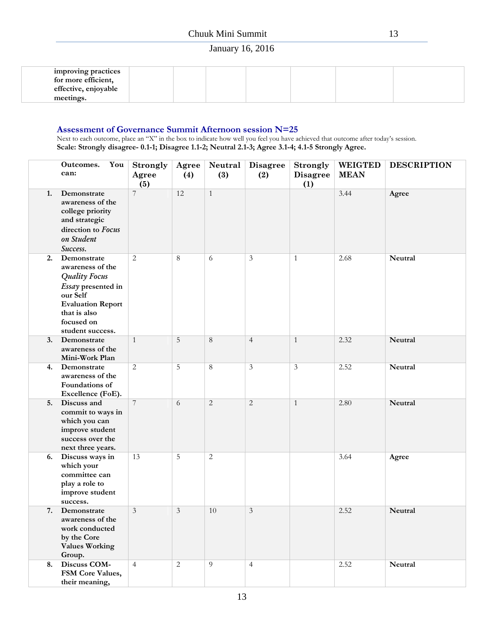| improving practices<br>for more efficient, |  |  |  |  |
|--------------------------------------------|--|--|--|--|
| effective, enjoyable<br>meetings.          |  |  |  |  |

#### **Assessment of Governance Summit Afternoon session N=25**

Next to each outcome, place an "X" in the box to indicate how well you feel you have achieved that outcome after today's session. **Scale: Strongly disagree- 0.1-1; Disagree 1.1-2; Neutral 2.1-3; Agree 3.1-4; 4.1-5 Strongly Agree.**

|    | You<br>Outcomes.<br>can:                                                                                                                                                | <b>Strongly</b><br>Agree<br>(5) | Agree<br>(4)   | Neutral<br>(3) | <b>Disagree</b><br>(2) | <b>Strongly</b><br><b>Disagree</b><br>(1) | <b>WEIGTED</b><br><b>MEAN</b> | <b>DESCRIPTION</b> |
|----|-------------------------------------------------------------------------------------------------------------------------------------------------------------------------|---------------------------------|----------------|----------------|------------------------|-------------------------------------------|-------------------------------|--------------------|
| 1. | Demonstrate<br>awareness of the<br>college priority<br>and strategic<br>direction to Focus<br>on Student<br>Success.                                                    | 7                               | 12             | $\mathbf{1}$   |                        |                                           | 3.44                          | Agree              |
| 2. | Demonstrate<br>awareness of the<br><b>Quality Focus</b><br>Essay presented in<br>our Self<br><b>Evaluation Report</b><br>that is also<br>focused on<br>student success. | $\overline{2}$                  | 8              | 6              | $\mathfrak{Z}$         | $\mathbf{1}$                              | 2.68                          | Neutral            |
| 3. | Demonstrate<br>awareness of the<br>Mini-Work Plan                                                                                                                       | $\mathbf{1}$                    | 5              | $8\,$          | $\overline{4}$         | $\mathbf{1}$                              | 2.32                          | Neutral            |
| 4. | Demonstrate<br>awareness of the<br>Foundations of<br>Excellence (FoE).                                                                                                  | $\overline{2}$                  | 5              | $\,8\,$        | $\mathfrak{Z}$         | $\overline{3}$                            | 2.52                          | Neutral            |
| 5. | Discuss and<br>commit to ways in<br>which you can<br>improve student<br>success over the<br>next three years.                                                           | $\overline{7}$                  | 6              | $\overline{c}$ | $\mathbf{2}$           | $\mathbf{1}$                              | 2.80                          | Neutral            |
| 6. | Discuss ways in<br>which your<br>committee can<br>play a role to<br>improve student<br>success.                                                                         | 13                              | 5              | $\mathbf{2}$   |                        |                                           | 3.64                          | Agree              |
| 7. | Demonstrate<br>awareness of the<br>work conducted<br>by the Core<br><b>Values Working</b><br>Group.                                                                     | 3                               | 3              | 10             | 3                      |                                           | 2.52                          | Neutral            |
| 8. | Discuss COM-<br>FSM Core Values,<br>their meaning,                                                                                                                      | $\overline{4}$                  | $\overline{2}$ | 9              | $\overline{4}$         |                                           | 2.52                          | Neutral            |

13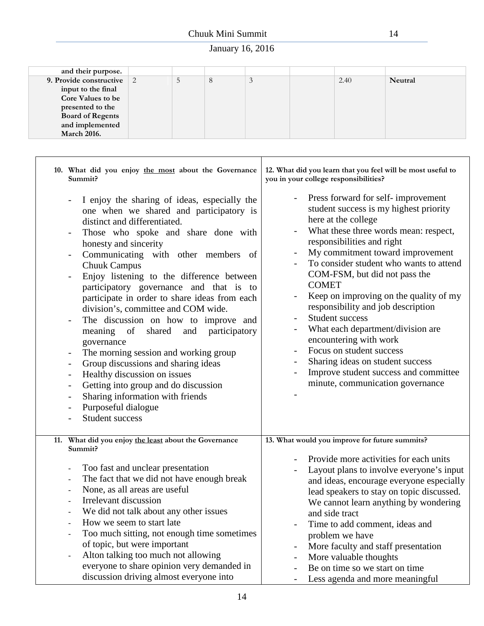| and their purpose.       |   |   |    |      |         |
|--------------------------|---|---|----|------|---------|
| 9. Provide constructive  | ر | ∂ | .J | 2.40 | Neutral |
| input to the final       |   |   |    |      |         |
| <b>Core Values to be</b> |   |   |    |      |         |
| presented to the         |   |   |    |      |         |
| <b>Board of Regents</b>  |   |   |    |      |         |
| and implemented          |   |   |    |      |         |
| <b>March 2016.</b>       |   |   |    |      |         |

| 10. What did you enjoy the most about the Governance<br>Summit?                                                                                                                                                                                                                                                                                                                                                                                                                                                                                                                                                                                                                                                                                                                                                                                                                                                                                                                                                                                      | 12. What did you learn that you feel will be most useful to<br>you in your college responsibilities?                                                                                                                                                                                                                                                                                                                                                                                                                                                                                                                                                  |
|------------------------------------------------------------------------------------------------------------------------------------------------------------------------------------------------------------------------------------------------------------------------------------------------------------------------------------------------------------------------------------------------------------------------------------------------------------------------------------------------------------------------------------------------------------------------------------------------------------------------------------------------------------------------------------------------------------------------------------------------------------------------------------------------------------------------------------------------------------------------------------------------------------------------------------------------------------------------------------------------------------------------------------------------------|-------------------------------------------------------------------------------------------------------------------------------------------------------------------------------------------------------------------------------------------------------------------------------------------------------------------------------------------------------------------------------------------------------------------------------------------------------------------------------------------------------------------------------------------------------------------------------------------------------------------------------------------------------|
| I enjoy the sharing of ideas, especially the<br>one when we shared and participatory is<br>distinct and differentiated.<br>Those who spoke and share done with<br>$\overline{\phantom{a}}$<br>honesty and sincerity<br>Communicating with other members of<br>$\overline{\phantom{a}}$<br><b>Chuuk Campus</b><br>Enjoy listening to the difference between<br>$\overline{\phantom{a}}$<br>participatory governance and that is to<br>participate in order to share ideas from each<br>division's, committee and COM wide.<br>The discussion on how to improve and<br>$\overline{\phantom{a}}$<br>meaning of<br>shared<br>participatory<br>and<br>governance<br>The morning session and working group<br>$\overline{\phantom{a}}$<br>Group discussions and sharing ideas<br>$\overline{\phantom{a}}$<br>Healthy discussion on issues<br>$\overline{\phantom{a}}$<br>Getting into group and do discussion<br>$\overline{\phantom{a}}$<br>Sharing information with friends<br>$\overline{\phantom{a}}$<br>Purposeful dialogue<br><b>Student success</b> | Press forward for self-improvement<br>student success is my highest priority<br>here at the college<br>What these three words mean: respect,<br>$\overline{\phantom{a}}$<br>responsibilities and right<br>My commitment toward improvement<br>To consider student who wants to attend<br>COM-FSM, but did not pass the<br><b>COMET</b><br>Keep on improving on the quality of my<br>responsibility and job description<br>Student success<br>What each department/division are<br>encountering with work<br>Focus on student success<br>Sharing ideas on student success<br>Improve student success and committee<br>minute, communication governance |
| 11. What did you enjoy the least about the Governance                                                                                                                                                                                                                                                                                                                                                                                                                                                                                                                                                                                                                                                                                                                                                                                                                                                                                                                                                                                                | 13. What would you improve for future summits?                                                                                                                                                                                                                                                                                                                                                                                                                                                                                                                                                                                                        |
| Summit?<br>Too fast and unclear presentation<br>$\overline{\phantom{a}}$<br>The fact that we did not have enough break<br>$\overline{\phantom{a}}$<br>None, as all areas are useful<br>$\blacksquare$<br>Irrelevant discussion<br>We did not talk about any other issues<br>How we seem to start late<br>Too much sitting, not enough time sometimes<br>$\overline{\phantom{a}}$<br>of topic, but were important<br>Alton talking too much not allowing<br>$\overline{\phantom{a}}$<br>everyone to share opinion very demanded in<br>discussion driving almost everyone into                                                                                                                                                                                                                                                                                                                                                                                                                                                                         | Provide more activities for each units<br>Layout plans to involve everyone's input<br>and ideas, encourage everyone especially<br>lead speakers to stay on topic discussed.<br>We cannot learn anything by wondering<br>and side tract<br>Time to add comment, ideas and<br>problem we have<br>More faculty and staff presentation<br>More valuable thoughts<br>Be on time so we start on time<br>Less agenda and more meaningful                                                                                                                                                                                                                     |